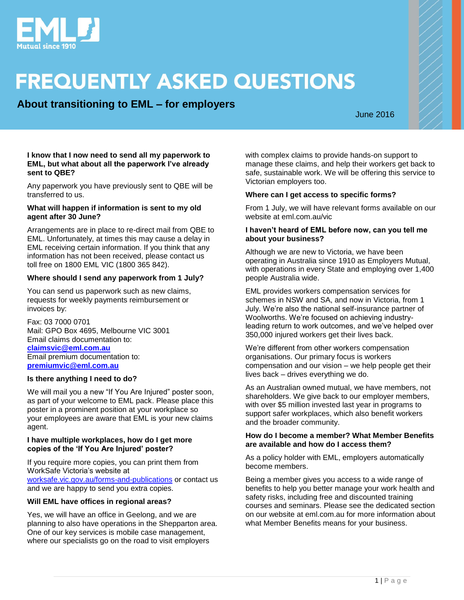

# **FREQUENTLY ASKED QUESTIONS**

**About transitioning to EML – for employers**

June 2016

#### **I know that I now need to send all my paperwork to EML, but what about all the paperwork I've already sent to QBE?**

Any paperwork you have previously sent to QBE will be transferred to us.

#### **What will happen if information is sent to my old agent after 30 June?**

Arrangements are in place to re-direct mail from QBE to EML. Unfortunately, at times this may cause a delay in EML receiving certain information. If you think that any information has not been received, please contact us toll free on 1800 EML VIC (1800 365 842).

#### **Where should I send any paperwork from 1 July?**

You can send us paperwork such as new claims, requests for weekly payments reimbursement or invoices by:

Fax: 03 7000 0701 Mail: GPO Box 4695, Melbourne VIC 3001 Email claims documentation to: **[claimsvic@eml.com.au](mailto:claimsvic@eml.com.au)** Email premium documentation to: **[premiumvic@eml.com.au](mailto:premiumvic@eml.com.au)**

#### **Is there anything I need to do?**

We will mail you a new "If You Are Injured" poster soon, as part of your welcome to EML pack. Please place this poster in a prominent position at your workplace so your employees are aware that EML is your new claims agent.

#### **I have multiple workplaces, how do I get more copies of the 'If You Are Injured' poster?**

If you require more copies, you can print them from WorkSafe Victoria's website at

[worksafe.vic.gov.au/forms-and-publications](http://www.worksafe.vic.gov.au/forms-and-publications) or contact us and we are happy to send you extra copies.

#### **Will EML have offices in regional areas?**

Yes, we will have an office in Geelong, and we are planning to also have operations in the Shepparton area. One of our key services is mobile case management, where our specialists go on the road to visit employers

with complex claims to provide hands-on support to manage these claims, and help their workers get back to safe, sustainable work. We will be offering this service to Victorian employers too.

#### **Where can I get access to specific forms?**

From 1 July, we will have relevant forms available on our website at eml.com.au/vic

#### **I haven't heard of EML before now, can you tell me about your business?**

Although we are new to Victoria, we have been operating in Australia since 1910 as Employers Mutual, with operations in every State and employing over 1,400 people Australia wide.

EML provides workers compensation services for schemes in NSW and SA, and now in Victoria, from 1 July. We're also the national self-insurance partner of Woolworths. We're focused on achieving industryleading return to work outcomes, and we've helped over 350,000 injured workers get their lives back.

We're different from other workers compensation organisations. Our primary focus is workers compensation and our vision – we help people get their lives back – drives everything we do.

As an Australian owned mutual, we have members, not shareholders. We give back to our employer members, with over \$5 million invested last year in programs to support safer workplaces, which also benefit workers and the broader community.

#### **How do I become a member? What Member Benefits are available and how do I access them?**

As a policy holder with EML, employers automatically become members.

Being a member gives you access to a wide range of benefits to help you better manage your work health and safety risks, including free and discounted training courses and seminars. Please see the dedicated section on our website at eml.com.au for more information about what Member Benefits means for your business.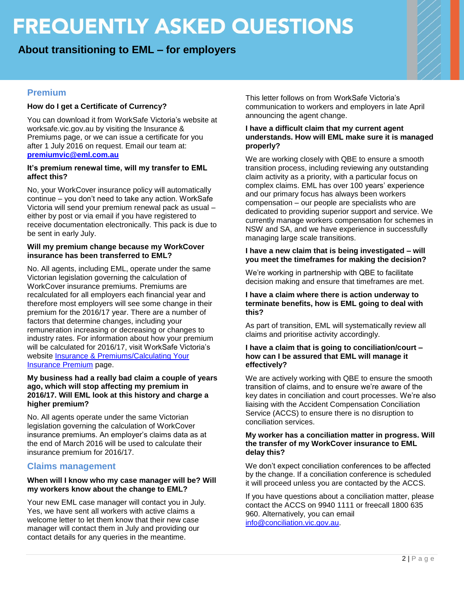# **FREQUENTLY ASKED QUESTIONS**

## **About transitioning to EML – for employers**

## **Premium**

### **How do I get a Certificate of Currency?**

You can download it from WorkSafe Victoria's website at worksafe.vic.gov.au by visiting the Insurance & Premiums page, or we can issue a certificate for you after 1 July 2016 on request. Email our team at: **[premiumvic@eml.com.au](mailto:premiumvic@eml.com.au)**

#### **It's premium renewal time, will my transfer to EML affect this?**

No, your WorkCover insurance policy will automatically continue – you don't need to take any action. WorkSafe Victoria will send your premium renewal pack as usual – either by post or via email if you have registered to receive documentation electronically. This pack is due to be sent in early July.

#### **Will my premium change because my WorkCover insurance has been transferred to EML?**

No. All agents, including EML, operate under the same Victorian legislation governing the calculation of WorkCover insurance premiums. Premiums are recalculated for all employers each financial year and therefore most employers will see some change in their premium for the 2016/17 year. There are a number of factors that determine changes, including your remuneration increasing or decreasing or changes to industry rates. For information about how your premium will be calculated for 2016/17, visit WorkSafe Victoria's website [Insurance & Premiums/Calculating Your](http://www.worksafe.vic.gov.au/insurance-and-premiums/calculating-your-insurance-premium/workcover-insurance-201617)  [Insurance Premium](http://www.worksafe.vic.gov.au/insurance-and-premiums/calculating-your-insurance-premium/workcover-insurance-201617) page.

#### **My business had a really bad claim a couple of years ago, which will stop affecting my premium in 2016/17. Will EML look at this history and charge a higher premium?**

No. All agents operate under the same Victorian legislation governing the calculation of WorkCover insurance premiums. An employer's claims data as at the end of March 2016 will be used to calculate their insurance premium for 2016/17.

### **Claims management**

#### **When will I know who my case manager will be? Will my workers know about the change to EML?**

Your new EML case manager will contact you in July. Yes, we have sent all workers with active claims a welcome letter to let them know that their new case manager will contact them in July and providing our contact details for any queries in the meantime.

This letter follows on from WorkSafe Victoria's communication to workers and employers in late April announcing the agent change.

#### **I have a difficult claim that my current agent understands. How will EML make sure it is managed properly?**

We are working closely with QBE to ensure a smooth transition process, including reviewing any outstanding claim activity as a priority, with a particular focus on complex claims. EML has over 100 years' experience and our primary focus has always been workers compensation – our people are specialists who are dedicated to providing superior support and service. We currently manage workers compensation for schemes in NSW and SA, and we have experience in successfully managing large scale transitions.

#### **I have a new claim that is being investigated – will you meet the timeframes for making the decision?**

We're working in partnership with QBE to facilitate decision making and ensure that timeframes are met.

#### **I have a claim where there is action underway to terminate benefits, how is EML going to deal with this?**

As part of transition, EML will systematically review all claims and prioritise activity accordingly.

#### **I have a claim that is going to conciliation/court – how can I be assured that EML will manage it effectively?**

We are actively working with QBE to ensure the smooth transition of claims, and to ensure we're aware of the key dates in conciliation and court processes. We're also liaising with the Accident Compensation Conciliation Service (ACCS) to ensure there is no disruption to conciliation services.

#### **My worker has a conciliation matter in progress. Will the transfer of my WorkCover insurance to EML delay this?**

We don't expect conciliation conferences to be affected by the change. If a conciliation conference is scheduled it will proceed unless you are contacted by the ACCS.

If you have questions about a conciliation matter, please contact the ACCS on 9940 1111 or freecall 1800 635 960. Alternatively, you can email [info@conciliation.vic.gov.au.](mailto:info@conciliation.vic.gov.au)